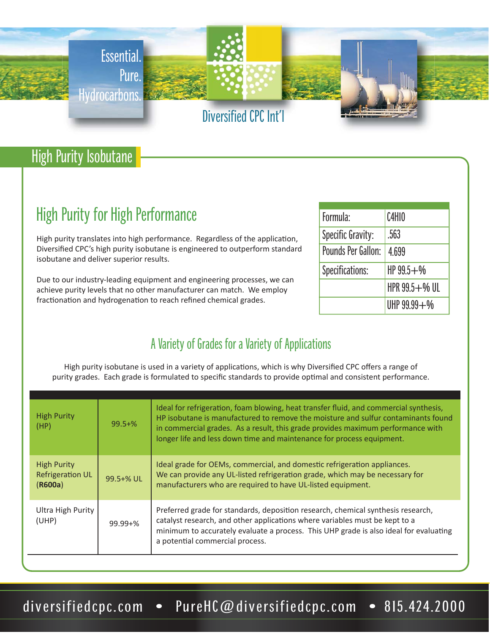

## High Purity Isobutane

# High Purity for High Performance

High purity translates into high performance. Regardless of the application, Diversified CPC's high purity isobutane is engineered to outperform standard isobutane and deliver superior results.

Due to our industry-leading equipment and engineering processes, we can achieve purity levels that no other manufacturer can match. We employ fractionation and hydrogenation to reach refined chemical grades.

| Formula:           | C4H10           |  |
|--------------------|-----------------|--|
| Specific Gravity:  | .563            |  |
| Pounds Per Gallon: | 4.699           |  |
| Specifications:    | $HP99.5 + W$    |  |
|                    | HPR 99.5+% UL   |  |
|                    | UHP $99.99 + W$ |  |

### A Variety of Grades for a Variety of Applications

High purity isobutane is used in a variety of applications, which is why Diversified CPC offers a range of purity grades. Each grade is formulated to specific standards to provide optimal and consistent performance.

| <b>High Purity</b><br>(HP)                               | $99.5 + %$     | Ideal for refrigeration, foam blowing, heat transfer fluid, and commercial synthesis,<br>HP isobutane is manufactured to remove the moisture and sulfur contaminants found<br>in commercial grades. As a result, this grade provides maximum performance with<br>longer life and less down time and maintenance for process equipment. |
|----------------------------------------------------------|----------------|----------------------------------------------------------------------------------------------------------------------------------------------------------------------------------------------------------------------------------------------------------------------------------------------------------------------------------------|
| <b>High Purity</b><br><b>Refrigeration UL</b><br>(R600a) | $99.5 + \%$ UL | Ideal grade for OEMs, commercial, and domestic refrigeration appliances.<br>We can provide any UL-listed refrigeration grade, which may be necessary for<br>manufacturers who are required to have UL-listed equipment.                                                                                                                |
| Ultra High Purity<br>(UHP)                               | $99.99 + \%$   | Preferred grade for standards, deposition research, chemical synthesis research,<br>catalyst research, and other applications where variables must be kept to a<br>minimum to accurately evaluate a process. This UHP grade is also ideal for evaluating<br>a potential commercial process.                                            |